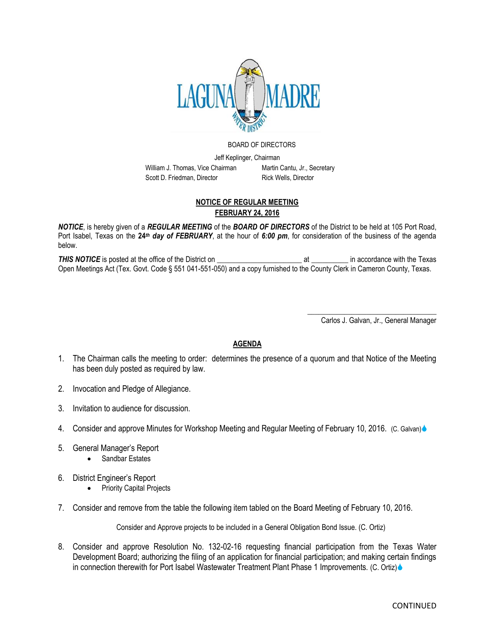

## BOARD OF DIRECTORS

Jeff Keplinger, Chairman William J. Thomas, Vice Chairman Martin Cantu, Jr., Secretary Scott D. Friedman, Director Rick Wells, Director

## **NOTICE OF REGULAR MEETING FEBRUARY 24, 2016**

*NOTICE*, is hereby given of a *REGULAR MEETING* of the *BOARD OF DIRECTORS* of the District to be held at 105 Port Road, Port Isabel, Texas on the **24***th day of FEBRUARY*, at the hour of *6:00 pm*, for consideration of the business of the agenda below.

*THIS NOTICE* is posted at the office of the District on \_\_\_\_\_\_\_\_\_\_\_\_\_\_\_\_\_\_\_\_\_\_\_ at \_\_\_\_\_\_\_\_\_\_ in accordance with the Texas Open Meetings Act (Tex. Govt. Code § 551 041-551-050) and a copy furnished to the County Clerk in Cameron County, Texas.

> \_\_\_\_\_\_\_\_\_\_\_\_\_\_\_\_\_\_\_\_\_\_\_\_\_\_\_\_\_\_\_\_\_\_\_ Carlos J. Galvan, Jr., General Manager

## **AGENDA**

- 1. The Chairman calls the meeting to order: determines the presence of a quorum and that Notice of the Meeting has been duly posted as required by law.
- 2. Invocation and Pledge of Allegiance.
- 3. Invitation to audience for discussion.
- 4. Consider and approve Minutes for Workshop Meeting and Regular Meeting of February 10, 2016. (C. Galvan)
- 5. General Manager's Report
	- Sandbar Estates
- 6. District Engineer's Report
	- Priority Capital Projects
- 7. Consider and remove from the table the following item tabled on the Board Meeting of February 10, 2016.

Consider and Approve projects to be included in a General Obligation Bond Issue. (C. Ortiz)

8. Consider and approve Resolution No. 132-02-16 requesting financial participation from the Texas Water Development Board; authorizing the filing of an application for financial participation; and making certain findings in connection therewith for Port Isabel Wastewater Treatment Plant Phase 1 Improvements. (C. Ortiz)